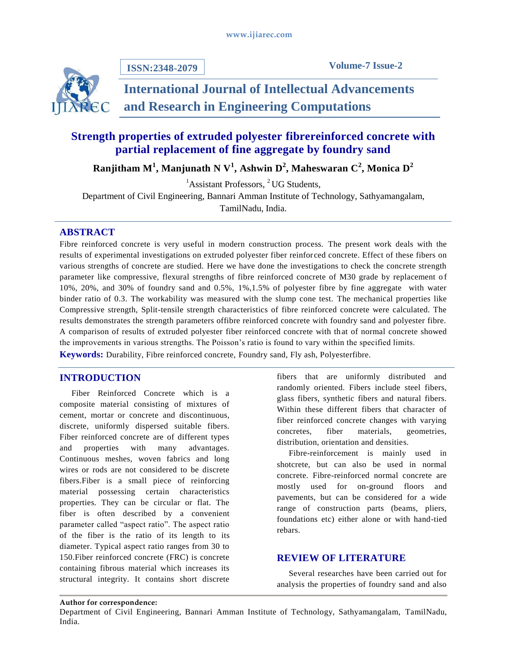

**ISSN:2348-2079**

**Volume-7 Issue-2**

# **International Journal of Intellectual Advancements and Research in Engineering Computations**

# **Strength properties of extruded polyester fibrereinforced concrete with partial replacement of fine aggregate by foundry sand**

**Ranjitham M<sup>1</sup> , Manjunath N V<sup>1</sup> , Ashwin D<sup>2</sup> , Maheswaran C<sup>2</sup> , Monica D<sup>2</sup>**

<sup>1</sup>Assistant Professors, <sup>2</sup> UG Students,

Department of Civil Engineering, Bannari Amman Institute of Technology, Sathyamangalam,

TamilNadu, India.

## **ABSTRACT**

Fibre reinforced concrete is very useful in modern construction process. The present work deals with the results of experimental investigations on extruded polyester fiber reinfor ced concrete. Effect of these fibers on various strengths of concrete are studied. Here we have done the investigations to check the concrete strength parameter like compressive, flexural strengths of fibre reinforced concrete of M30 grade by replacement of 10%, 20%, and 30% of foundry sand and 0.5%, 1%,1.5% of polyester fibre by fine aggregate with water binder ratio of 0.3. The workability was measured with the slump cone test. The mechanical properties like Compressive strength, Split-tensile strength characteristics of fibre reinforced concrete were calculated. The results demonstrates the strength parameters offibre reinforced concrete with foundry sand and polyester fibre. A comparison of results of extruded polyester fiber reinforced concrete with that of normal concrete showed the improvements in various strengths. The Poisson"s ratio is found to vary within the specified limits. **Keywords:** Durability, Fibre reinforced concrete, Foundry sand, Fly ash, Polyesterfibre*.*

## **INTRODUCTION**

Fiber Reinforced Concrete which is a composite material consisting of mixtures of cement, mortar or concrete and discontinuous, discrete, uniformly dispersed suitable fibers. Fiber reinforced concrete are of different types and properties with many advantages. Continuous meshes, woven fabrics and long wires or rods are not considered to be discrete fibers.Fiber is a small piece of reinforcing material possessing certain characteristics properties. They can be circular or flat. The fiber is often described by a convenient parameter called "aspect ratio". The aspect ratio of the fiber is the ratio of its length to its diameter. Typical aspect ratio ranges from 30 to 150.Fiber reinforced concrete (FRC) is concrete containing fibrous material which increases its structural integrity. It contains short discrete

fibers that are uniformly distributed and randomly oriented. Fibers include steel fibers, glass fibers, synthetic fibers and natural fibers. Within these different fibers that character of fiber reinforced concrete changes with varying concretes, fiber materials, geometries, distribution, orientation and densities.

Fibre-reinforcement is mainly used in shotcrete, but can also be used in normal concrete. Fibre-reinforced normal concrete are mostly used for on-ground floors and pavements, but can be considered for a wide range of construction parts (beams, pliers, foundations etc) either alone or with hand-tied rebars.

## **REVIEW OF LITERATURE**

Several researches have been carried out for analysis the properties of foundry sand and also

#### **Author for correspondence:**

Department of Civil Engineering, Bannari Amman Institute of Technology, Sathyamangalam, TamilNadu, India.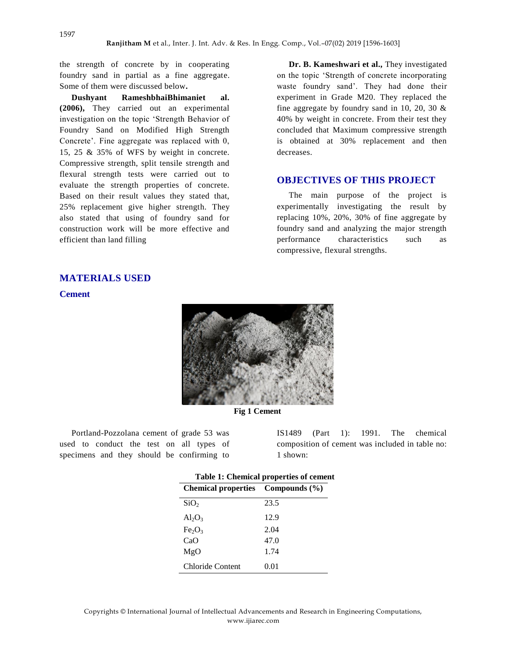the strength of concrete by in cooperating foundry sand in partial as a fine aggregate. Some of them were discussed below**.**

**Dushyant RameshbhaiBhimaniet al. (2006),** They carried out an experimental investigation on the topic "Strength Behavior of Foundry Sand on Modified High Strength Concrete'. Fine aggregate was replaced with 0, 15, 25 & 35% of WFS by weight in concrete. Compressive strength, split tensile strength and flexural strength tests were carried out to evaluate the strength properties of concrete. Based on their result values they stated that, 25% replacement give higher strength. They also stated that using of foundry sand for construction work will be more effective and efficient than land filling

**Dr. B. Kameshwari et al.,** They investigated on the topic "Strength of concrete incorporating waste foundry sand'. They had done their experiment in Grade M20. They replaced the fine aggregate by foundry sand in 10, 20, 30 & 40% by weight in concrete. From their test they concluded that Maximum compressive strength is obtained at 30% replacement and then decreases.

#### **OBJECTIVES OF THIS PROJECT**

The main purpose of the project is experimentally investigating the result by replacing 10%, 20%, 30% of fine aggregate by foundry sand and analyzing the major strength performance characteristics such as compressive, flexural strengths.

## **MATERIALS USED**

#### **Cement**



**Fig 1 Cement**

Portland-Pozzolana cement of grade 53 was used to conduct the test on all types of specimens and they should be confirming to

IS1489 (Part 1): 1991. The chemical composition of cement was included in table no: 1 shown:

| <b>Table 1: Chemical properties of cement</b> |      |  |
|-----------------------------------------------|------|--|
| Chemical properties Compounds (%)             |      |  |
| SiO <sub>2</sub>                              | 23.5 |  |
| $Al_2O_3$                                     | 12.9 |  |
| Fe <sub>2</sub> O <sub>3</sub>                | 2.04 |  |
| CaO                                           | 47.0 |  |
| MgO                                           | 1.74 |  |
| <b>Chloride Content</b>                       | 0.01 |  |

Copyrights © International Journal of Intellectual Advancements and Research in Engineering Computations, www.ijiarec.com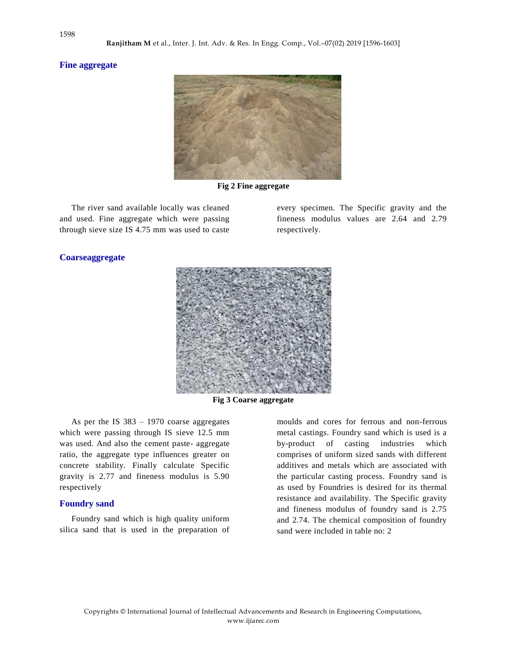#### **Fine aggregate**



**Fig 2 Fine aggregate**

The river sand available locally was cleaned and used. Fine aggregate which were passing through sieve size IS 4.75 mm was used to caste every specimen. The Specific gravity and the fineness modulus values are 2.64 and 2.79 respectively.

# **Coarseaggregate**



**Fig 3 Coarse aggregate**

As per the IS 383 – 1970 coarse aggregates which were passing through IS sieve 12.5 mm was used. And also the cement paste- aggregate ratio, the aggregate type influences greater on concrete stability. Finally calculate Specific gravity is 2.77 and fineness modulus is 5.90 respectively

#### **Foundry sand**

Foundry sand which is high quality uniform silica sand that is used in the preparation of

moulds and cores for ferrous and non-ferrous metal castings. Foundry sand which is used is a by-product of casting industries which comprises of uniform sized sands with different additives and metals which are associated with the particular casting process. Foundry sand is as used by Foundries is desired for its thermal resistance and availability. The Specific gravity and fineness modulus of foundry sand is 2.75 and 2.74. The chemical composition of foundry sand were included in table no: 2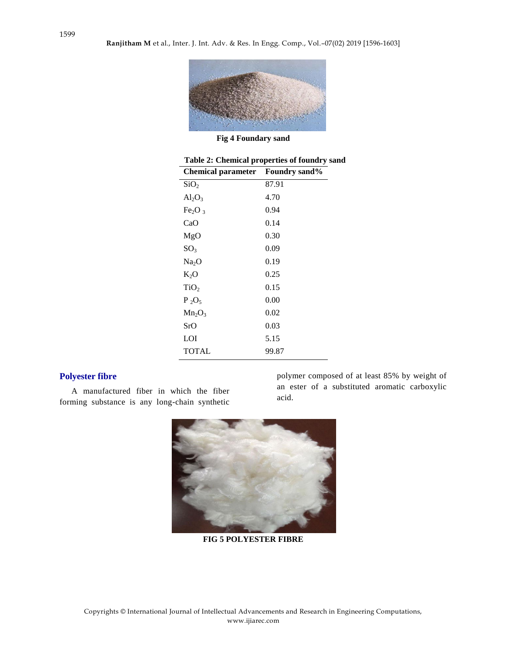

**Fig 4 Foundary sand**

| Table 2: Chemical properties of foundry sand |       |  |  |
|----------------------------------------------|-------|--|--|
| <b>Chemical parameter</b> Foundry sand%      |       |  |  |
| SiO <sub>2</sub>                             | 87.91 |  |  |
| $Al_2O_3$                                    | 4.70  |  |  |
| Fe <sub>2</sub> O <sub>3</sub>               | 0.94  |  |  |
| CaO                                          | 0.14  |  |  |
| MgO                                          | 0.30  |  |  |
| SO <sub>3</sub>                              | 0.09  |  |  |
| Na <sub>2</sub> O                            | 0.19  |  |  |
| $K_2O$                                       | 0.25  |  |  |
| TiO <sub>2</sub>                             | 0.15  |  |  |
| $P_2O_5$                                     | 0.00  |  |  |
| $Mn_2O_3$                                    | 0.02  |  |  |
| SrO                                          | 0.03  |  |  |
| LOI                                          | 5.15  |  |  |
| TOTAL                                        | 99.87 |  |  |

# **Polyester fibre**

A manufactured fiber in which the fiber forming substance is any long-chain synthetic polymer composed of at least 85% by weight of an ester of a substituted aromatic carboxylic acid.



**FIG 5 POLYESTER FIBRE**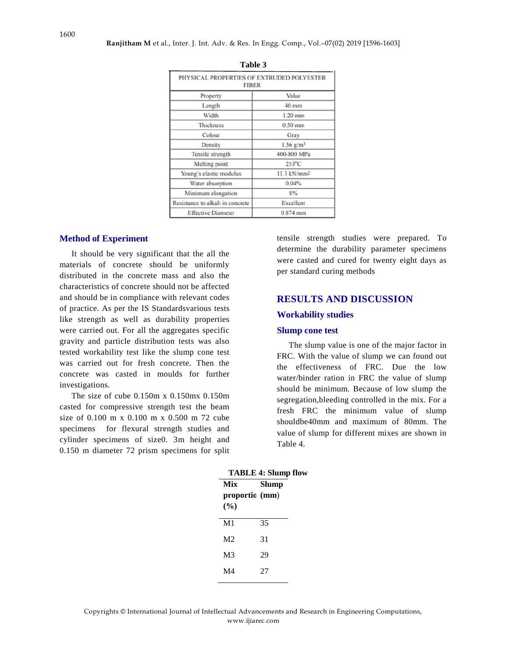| PHYSICAL PROPERTIES OF EXTRUDED POLYESTER<br><b>FIBER</b> |                           |  |  |
|-----------------------------------------------------------|---------------------------|--|--|
| Property                                                  | Value                     |  |  |
| Length                                                    | 40 mm                     |  |  |
| Width                                                     | $1.20$ mm                 |  |  |
| <b>Thickness</b>                                          | 0.50 mm                   |  |  |
| Colour                                                    | Gray                      |  |  |
| Density                                                   | $1.36$ g/m <sup>3</sup>   |  |  |
| Tensile strength                                          | 400-800 MPa               |  |  |
| Melting point                                             | $253^{\circ}$ C           |  |  |
| Young's elastic modulus                                   | $11.3$ kN/mm <sup>2</sup> |  |  |
| Water absorption                                          | 0.04%                     |  |  |
| Minimum elongation                                        | 8%                        |  |  |
| Resistance to alkali in concrete                          | Excellent                 |  |  |
| <b>Effective Diameter</b>                                 | $0.874$ mm                |  |  |

| Table 3 |  |
|---------|--|
|         |  |

#### **Method of Experiment**

It should be very significant that the all the materials of concrete should be uniformly distributed in the concrete mass and also the characteristics of concrete should not be affected and should be in compliance with relevant codes of practice. As per the IS Standardsvarious tests like strength as well as durability properties were carried out. For all the aggregates specific gravity and particle distribution tests was also tested workability test like the slump cone test was carried out for fresh concrete. Then the concrete was casted in moulds for further investigations.

The size of cube 0.150m x 0.150mx 0.150m casted for compressive strength test the beam size of 0.100 m x 0.100 m x 0.500 m 72 cube specimens for flexural strength studies and cylinder specimens of size0. 3m height and 0.150 m diameter 72 prism specimens for split tensile strength studies were prepared. To determine the durability parameter specimens were casted and cured for twenty eight days as per standard curing methods

# **RESULTS AND DISCUSSION Workability studies**

#### **Slump cone test**

The slump value is one of the major factor in FRC. With the value of slump we can found out the effectiveness of FRC. Due the low water/binder ration in FRC the value of slump should be minimum. Because of low slump the segregation,bleeding controlled in the mix. For a fresh FRC the minimum value of slump shouldbe40mm and maximum of 80mm. The value of slump for different mixes are shown in Table 4.

| тирге 4. энишр |       |
|----------------|-------|
| Mix            | Slump |
| proportic (mm) |       |
| (%)            |       |
| M1             | 35    |
| M2             | 31    |
| M <sub>3</sub> | 29    |
| M4             | 27    |
|                |       |

**TABLE 4: Slump flow**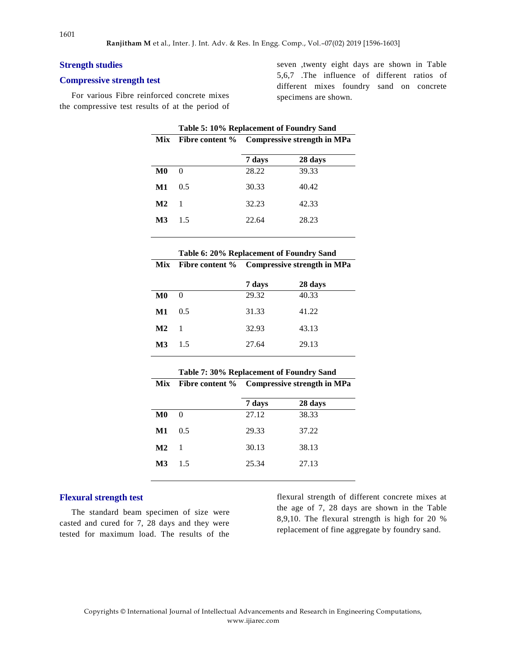#### **Strength studies**

#### **Compressive strength test**

For various Fibre reinforced concrete mixes the compressive test results of at the period of seven ,twenty eight days are shown in Table 5,6,7 .The influence of different ratios of different mixes foundry sand on concrete specimens are shown.

| Table 5: 10% Replacement of Foundry Sand |          |                                                                  |       |
|------------------------------------------|----------|------------------------------------------------------------------|-------|
| <b>Mix</b>                               |          | Fibre content % Compressive strength in MPa<br>7 days<br>28 days |       |
|                                          |          |                                                                  |       |
| M0                                       | $\Omega$ | 28.22                                                            | 39.33 |
| М1                                       | 0.5      | 30.33                                                            | 40.42 |
| $\mathbf{M2}$                            | -1       | 32.23                                                            | 42.33 |
| M3                                       | 15       | 22.64                                                            | 28.23 |

|               | Table 6: 20% Replacement of Foundry Sand |                                             |         |  |
|---------------|------------------------------------------|---------------------------------------------|---------|--|
| <b>Mix</b>    |                                          | Fibre content % Compressive strength in MPa |         |  |
|               |                                          | 7 days                                      | 28 days |  |
| M0            | $\Omega$                                 | 29.32                                       | 40.33   |  |
| М1            | 0.5                                      | 31.33                                       | 41.22   |  |
| $\mathbf{M2}$ | -1                                       | 32.93                                       | 43.13   |  |
| M3            | 15                                       | 27.64                                       | 29.13   |  |

| Table 7: 30% Replacement of Foundry Sand |          |                                             |         |
|------------------------------------------|----------|---------------------------------------------|---------|
| Mix                                      |          | Fibre content % Compressive strength in MPa |         |
|                                          |          | 7 days                                      | 28 days |
| $\bf M0$                                 | $\theta$ | 27.12                                       | 38.33   |
| M1                                       | 0.5      | 29.33                                       | 37.22   |
| M <sub>2</sub>                           | -1       | 30.13                                       | 38.13   |
| $\mathbf{M}$ 3                           | 1.5      | 25.34                                       | 27.13   |
|                                          |          |                                             |         |

#### **Flexural strength test**

The standard beam specimen of size were casted and cured for 7, 28 days and they were tested for maximum load. The results of the flexural strength of different concrete mixes at the age of 7, 28 days are shown in the Table 8,9,10. The flexural strength is high for 20 % replacement of fine aggregate by foundry sand.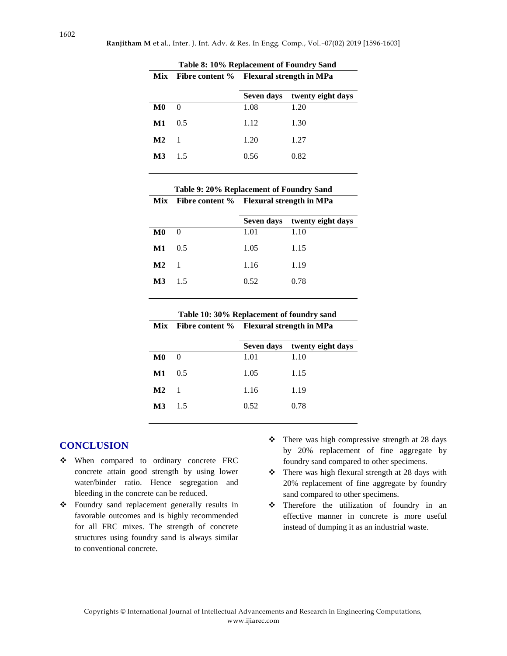| Table 8: 10% Replacement of Foundry Sand |     |                                          |                   |
|------------------------------------------|-----|------------------------------------------|-------------------|
| <b>Mix</b>                               |     | Fibre content % Flexural strength in MPa |                   |
|                                          |     | Seven days                               | twenty eight days |
| M0                                       | 0   | 1.08                                     | 1.20              |
| $\bf M1$                                 | 0.5 | 1.12                                     | 1.30              |
| M <sub>2</sub>                           | 1   | 1.20                                     | 1.27              |
| M3                                       | 1.5 | 0.56                                     | 0.82              |
|                                          |     |                                          |                   |

| Table 9: 20% Replacement of Foundry Sand |          |                                                                             |      |
|------------------------------------------|----------|-----------------------------------------------------------------------------|------|
| <b>Mix</b>                               |          | Fibre content % Flexural strength in MPa<br>Seven days<br>twenty eight days |      |
|                                          |          |                                                                             |      |
| M0                                       | $\theta$ | 1.01                                                                        | 1.10 |
| M1                                       | 0.5      | 1.05                                                                        | 1.15 |
| $\mathbf{M}2$                            | -1       | 1.16                                                                        | 1.19 |
| M3                                       | 15       | 0.52                                                                        | 0.78 |
|                                          |          |                                                                             |      |

| Table 10: 30% Replacement of foundry sand |                                              |  |
|-------------------------------------------|----------------------------------------------|--|
|                                           | Mix Fibre content % Flexural strength in MPa |  |

|  |                |                    |      | Seven days twenty eight days |
|--|----------------|--------------------|------|------------------------------|
|  | $\bf M0$       | $\hspace{0.6cm} 0$ | 1.01 | 1.10                         |
|  | M1             | 0.5                | 1.05 | 1.15                         |
|  | $\mathbf{M2}$  | $\blacksquare$     | 1.16 | 1.19                         |
|  | $\mathbf{M}$ 3 | 1.5                | 0.52 | 0.78                         |
|  |                |                    |      |                              |

### **CONCLUSION**

- When compared to ordinary concrete FRC concrete attain good strength by using lower water/binder ratio. Hence segregation and bleeding in the concrete can be reduced.
- Foundry sand replacement generally results in favorable outcomes and is highly recommended for all FRC mixes. The strength of concrete structures using foundry sand is always similar to conventional concrete.
- $\div$  There was high compressive strength at 28 days by 20% replacement of fine aggregate by foundry sand compared to other specimens.
- $\div$  There was high flexural strength at 28 days with 20% replacement of fine aggregate by foundry sand compared to other specimens.
- \* Therefore the utilization of foundry in an effective manner in concrete is more useful instead of dumping it as an industrial waste.